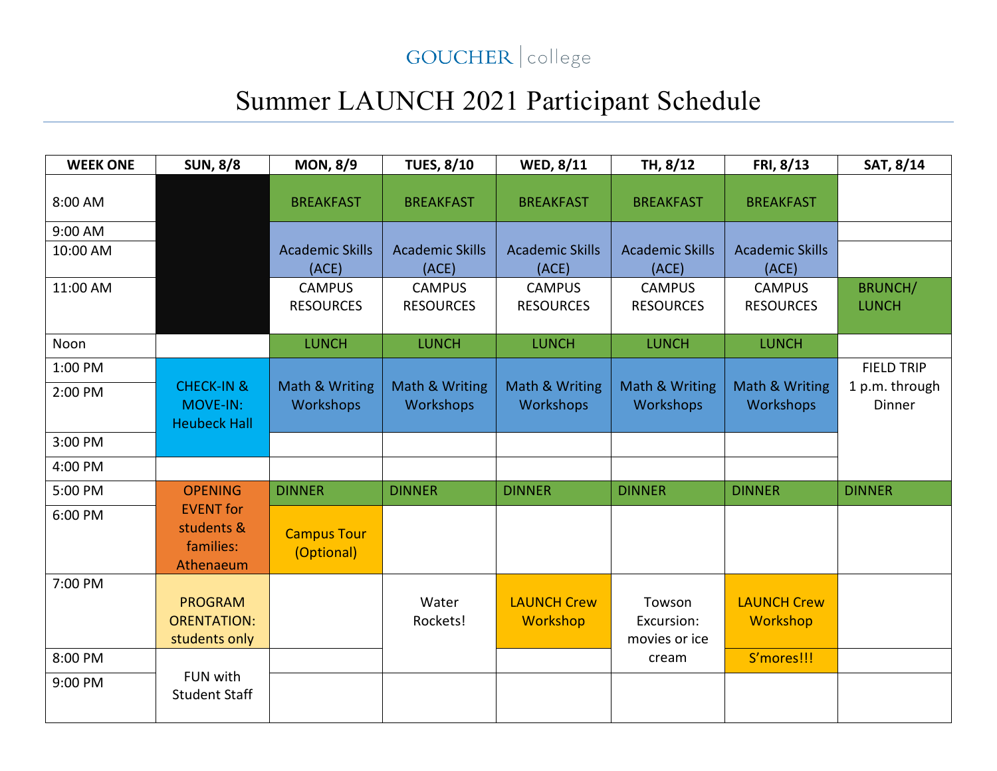## GOUCHER | college

## Summer LAUNCH 2021 Participant Schedule

| <b>WEEK ONE</b> | <b>SUN, 8/8</b>                                          | <b>MON, 8/9</b>                    | <b>TUES, 8/10</b>                 | WED, 8/11                         | TH, 8/12                              | FRI, 8/13                         | SAT, 8/14                       |
|-----------------|----------------------------------------------------------|------------------------------------|-----------------------------------|-----------------------------------|---------------------------------------|-----------------------------------|---------------------------------|
| 8:00 AM         |                                                          | <b>BREAKFAST</b>                   | <b>BREAKFAST</b>                  | <b>BREAKFAST</b>                  | <b>BREAKFAST</b>                      | <b>BREAKFAST</b>                  |                                 |
| 9:00 AM         |                                                          |                                    |                                   |                                   |                                       |                                   |                                 |
| 10:00 AM        |                                                          | <b>Academic Skills</b><br>(ACE)    | <b>Academic Skills</b><br>(ACE)   | <b>Academic Skills</b><br>(ACE)   | <b>Academic Skills</b><br>(ACE)       | <b>Academic Skills</b><br>(ACE)   |                                 |
| 11:00 AM        |                                                          | <b>CAMPUS</b><br><b>RESOURCES</b>  | <b>CAMPUS</b><br><b>RESOURCES</b> | <b>CAMPUS</b><br><b>RESOURCES</b> | <b>CAMPUS</b><br><b>RESOURCES</b>     | <b>CAMPUS</b><br><b>RESOURCES</b> | <b>BRUNCH/</b><br><b>LUNCH</b>  |
| Noon            |                                                          | <b>LUNCH</b>                       | <b>LUNCH</b>                      | <b>LUNCH</b>                      | <b>LUNCH</b>                          | <b>LUNCH</b>                      |                                 |
| 1:00 PM         |                                                          |                                    |                                   |                                   |                                       |                                   | <b>FIELD TRIP</b>               |
| 2:00 PM         | <b>CHECK-IN &amp;</b><br>MOVE-IN:<br><b>Heubeck Hall</b> | Math & Writing<br><b>Workshops</b> | Math & Writing<br>Workshops       | Math & Writing<br>Workshops       | Math & Writing<br><b>Workshops</b>    | Math & Writing<br>Workshops       | 1 p.m. through<br><b>Dinner</b> |
| 3:00 PM         |                                                          |                                    |                                   |                                   |                                       |                                   |                                 |
| 4:00 PM         |                                                          |                                    |                                   |                                   |                                       |                                   |                                 |
| 5:00 PM         | <b>OPENING</b>                                           | <b>DINNER</b>                      | <b>DINNER</b>                     | <b>DINNER</b>                     | <b>DINNER</b>                         | <b>DINNER</b>                     | <b>DINNER</b>                   |
| 6:00 PM         | <b>EVENT</b> for<br>students &<br>families:<br>Athenaeum | <b>Campus Tour</b><br>(Optional)   |                                   |                                   |                                       |                                   |                                 |
| 7:00 PM         |                                                          |                                    |                                   |                                   |                                       |                                   |                                 |
|                 | <b>PROGRAM</b><br><b>ORENTATION:</b><br>students only    |                                    | Water<br>Rockets!                 | <b>LAUNCH Crew</b><br>Workshop    | Towson<br>Excursion:<br>movies or ice | <b>LAUNCH Crew</b><br>Workshop    |                                 |
| 8:00 PM         |                                                          |                                    |                                   |                                   | cream                                 | S'mores!!!                        |                                 |
| 9:00 PM         | FUN with<br><b>Student Staff</b>                         |                                    |                                   |                                   |                                       |                                   |                                 |